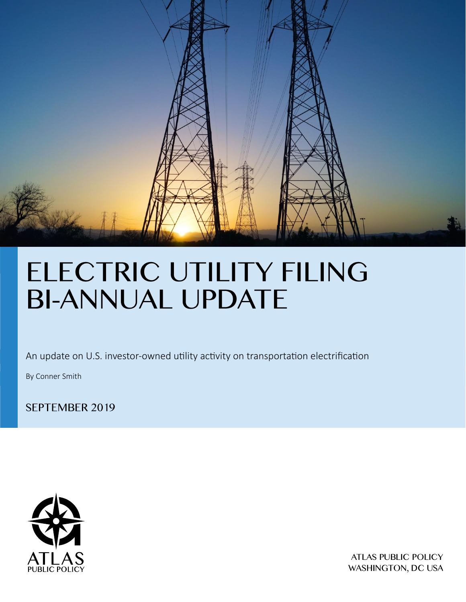

An update on U.S. investor-owned utility activity on transportation electrification

By Conner Smith

SEPTEMBER 2019



**ATLAS PUBLIC POLICY** WASHINGTON, DC USA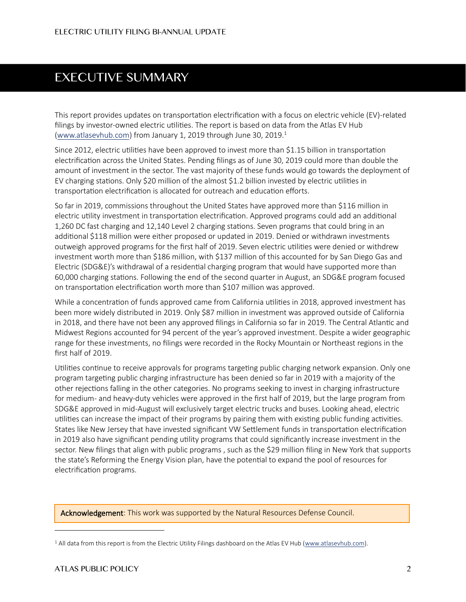# **EXECUTIVE SUMMARY**

This report provides updates on transportation electrification with a focus on electric vehicle (EV)-related filings by investor-owned electric utilities. The report is based on data from the Atlas EV Hub [\(www.atlasevhub.com\)](http://www.atlasevhub.com/) from January 1, 2019 through June 30, 2019.<sup>1</sup>

Since 2012, electric utilities have been approved to invest more than \$1.15 billion in transportation electrification across the United States. Pending filings as of June 30, 2019 could more than double the amount of investment in the sector. The vast majority of these funds would go towards the deployment of EV charging stations. Only \$20 million of the almost \$1.2 billion invested by electric utilities in transportation electrification is allocated for outreach and education efforts.

So far in 2019, commissions throughout the United States have approved more than \$116 million in electric utility investment in transportation electrification. Approved programs could add an additional 1,260 DC fast charging and 12,140 Level 2 charging stations. Seven programs that could bring in an additional \$118 million were either proposed or updated in 2019. Denied or withdrawn investments outweigh approved programs for the first half of 2019. Seven electric utilities were denied or withdrew investment worth more than \$186 million, with \$137 million of this accounted for by San Diego Gas and Electric (SDG&E)'s withdrawal of a residential charging program that would have supported more than 60,000 charging stations. Following the end of the second quarter in August, an SDG&E program focused on transportation electrification worth more than \$107 million was approved.

While a concentration of funds approved came from California utilities in 2018, approved investment has been more widely distributed in 2019. Only \$87 million in investment was approved outside of California in 2018, and there have not been any approved filings in California so far in 2019. The Central Atlantic and Midwest Regions accounted for 94 percent of the year's approved investment. Despite a wider geographic range for these investments, no filings were recorded in the Rocky Mountain or Northeast regions in the first half of 2019.

Utilities continue to receive approvals for programs targeting public charging network expansion. Only one program targeting public charging infrastructure has been denied so far in 2019 with a majority of the other rejections falling in the other categories. No programs seeking to invest in charging infrastructure for medium- and heavy-duty vehicles were approved in the first half of 2019, but the large program from SDG&E approved in mid-August will exclusively target electric trucks and buses. Looking ahead, electric utilities can increase the impact of their programs by pairing them with existing public funding activities. States like New Jersey that have invested significant VW Settlement funds in transportation electrification in 2019 also have significant pending utility programs that could significantly increase investment in the sector. New filings that align with public programs , such as the \$29 million filing in New York that supports the state's Reforming the Energy Vision plan, have the potential to expand the pool of resources for electrification programs.

Acknowledgement: This work was supported by the Natural Resources Defense Council.

<sup>&</sup>lt;sup>1</sup> All data from this report is from the Electric Utility Filings dashboard on the Atlas EV Hub [\(www.atlasevhub.com\)](http://www.atlasevhub.com/).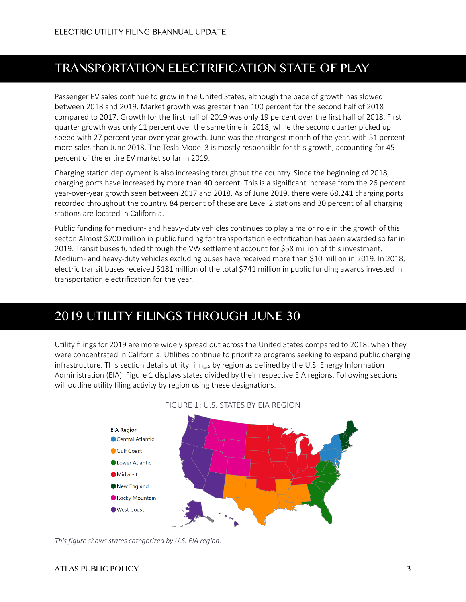# **TRANSPORTATION ELECTRIFICATION STATE OF PLAY**

Passenger EV sales continue to grow in the United States, although the pace of growth has slowed between 2018 and 2019. Market growth was greater than 100 percent for the second half of 2018 compared to 2017. Growth for the first half of 2019 was only 19 percent over the first half of 2018. First quarter growth was only 11 percent over the same time in 2018, while the second quarter picked up speed with 27 percent year-over-year growth. June was the strongest month of the year, with 51 percent more sales than June 2018. The Tesla Model 3 is mostly responsible for this growth, accounting for 45 percent of the entire EV market so far in 2019.

Charging station deployment is also increasing throughout the country. Since the beginning of 2018, charging ports have increased by more than 40 percent. This is a significant increase from the 26 percent year-over-year growth seen between 2017 and 2018. As of June 2019, there were 68,241 charging ports recorded throughout the country. 84 percent of these are Level 2 stations and 30 percent of all charging stations are located in California.

Public funding for medium- and heavy-duty vehicles continues to play a major role in the growth of this sector. Almost \$200 million in public funding for transportation electrification has been awarded so far in 2019. Transit buses funded through the VW settlement account for \$58 million of this investment. Medium- and heavy-duty vehicles excluding buses have received more than \$10 million in 2019. In 2018, electric transit buses received \$181 million of the total \$741 million in public funding awards invested in transportation electrification for the year.

# 2019 UTILITY FILINGS THROUGH JUNE 30

Utility filings for 2019 are more widely spread out across the United States compared to 2018, when they were concentrated in California. Utilities continue to prioritize programs seeking to expand public charging infrastructure. This section details utility filings by region as defined by the U.S. Energy Information Administration (EIA)[. Figure 1](#page-2-0) displays states divided by their respective EIA regions. Following sections will outline utility filing activity by region using these designations.

<span id="page-2-0"></span>

#### FIGURE 1: U.S. STATES BY EIA REGION

*This figure shows states categorized by U.S. EIA region.*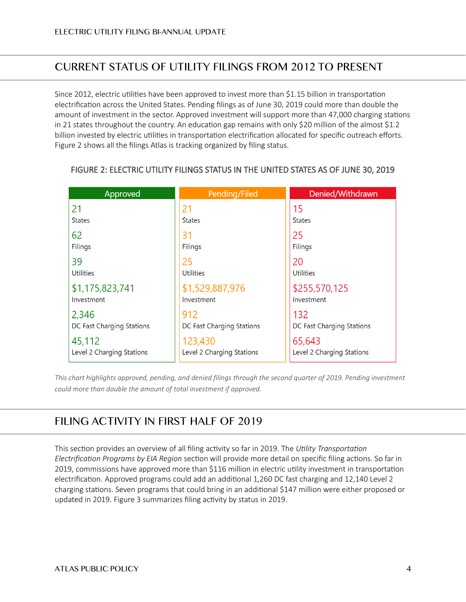# **CURRENT STATUS OF UTILITY FILINGS FROM 2012 TO PRESENT**

Since 2012, electric utilities have been approved to invest more than \$1.15 billion in transportation electrification across the United States. Pending filings as of June 30, 2019 could more than double the amount of investment in the sector. Approved investment will support more than 47,000 charging stations in 21 states throughout the country. An education gap remains with only \$20 million of the almost \$1.2 billion invested by electric utilities in transportation electrification allocated for specific outreach efforts. [Figure 2](#page-3-0) shows all the filings Atlas is tracking organized by filing status.

| Approved                  | Pending/Filed             | Denied/Withdrawn          |
|---------------------------|---------------------------|---------------------------|
| 21                        | 21                        | 15                        |
| <b>States</b>             | <b>States</b>             | <b>States</b>             |
| 62                        | 31                        | 25                        |
| Filings                   | Filings                   | Filings                   |
| 39                        | 25                        | 20                        |
| Utilities                 | Utilities                 | Utilities                 |
| \$1,175,823,741           | \$1,529,887,976           | \$255,570,125             |
| Investment                | Investment                | Investment                |
| 2,346                     | 912                       | 132                       |
| DC Fast Charging Stations | DC Fast Charging Stations | DC Fast Charging Stations |
| 45,112                    | 123,430                   | 65,643                    |
| Level 2 Charging Stations | Level 2 Charging Stations | Level 2 Charging Stations |

#### <span id="page-3-0"></span>FIGURE 2: ELECTRIC UTILITY FILINGS STATUS IN THE UNITED STATES AS OF JUNE 30, 2019

*This chart highlights approved, pending, and denied filings through the second quarter of 2019. Pending investment could more than double the amount of total investment if approved.* 

# FILING ACTIVITY IN FIRST HALF OF 2019

This section provides an overview of all filing activity so far in 2019. The *[Utility Transportation](#page-6-0)  [Electrification Programs by EIA Region](#page-6-0)* section will provide more detail on specific filing actions. So far in 2019, commissions have approved more than \$116 million in electric utility investment in transportation electrification. Approved programs could add an additional 1,260 DC fast charging and 12,140 Level 2 charging stations. Seven programs that could bring in an additional \$147 million were either proposed or updated in 2019[. Figure 3](#page-4-0) summarizes filing activity by status in 2019.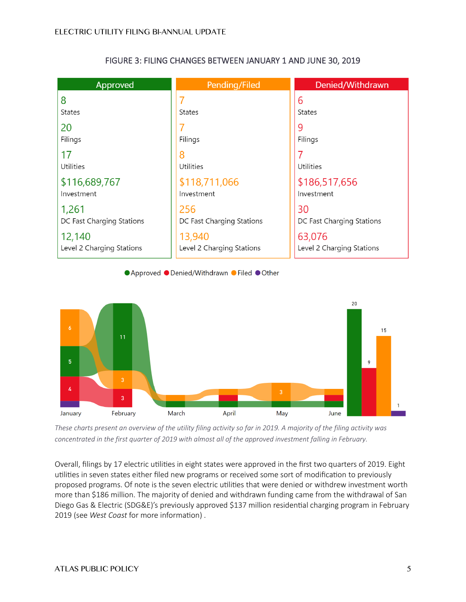<span id="page-4-0"></span>

| Approved                  | Pending/Filed             | Denied/Withdrawn          |
|---------------------------|---------------------------|---------------------------|
| 8                         |                           | 6                         |
| <b>States</b>             | <b>States</b>             | <b>States</b>             |
| 20                        |                           | q                         |
| Filings                   | Filings                   | Filings                   |
| 17                        | 8                         | 7                         |
| Utilities                 | Utilities                 | Utilities                 |
| \$116,689,767             | \$118,711,066             | \$186,517,656             |
| Investment                | Investment                | Investment                |
| 1,261                     | 256                       | 30                        |
| DC Fast Charging Stations | DC Fast Charging Stations | DC Fast Charging Stations |
| 12,140                    | 13,940                    | 63,076                    |
| Level 2 Charging Stations | Level 2 Charging Stations | Level 2 Charging Stations |

#### FIGURE 3: FILING CHANGES BETWEEN JANUARY 1 AND JUNE 30, 2019

● Approved ● Denied/Withdrawn ● Filed ● Other



*These charts present an overview of the utility filing activity so far in 2019. A majority of the filing activity was concentrated in the first quarter of 2019 with almost all of the approved investment falling in February.*

Overall, filings by 17 electric utilities in eight states were approved in the first two quarters of 2019. Eight utilities in seven states either filed new programs or received some sort of modification to previously proposed programs. Of note is the seven electric utilities that were denied or withdrew investment worth more than \$186 million. The majority of denied and withdrawn funding came from the withdrawal of San Diego Gas & Electric (SDG&E)'s previously approved \$137 million residential charging program in February 2019 (see *[West Coast](#page-6-1)* for more information) .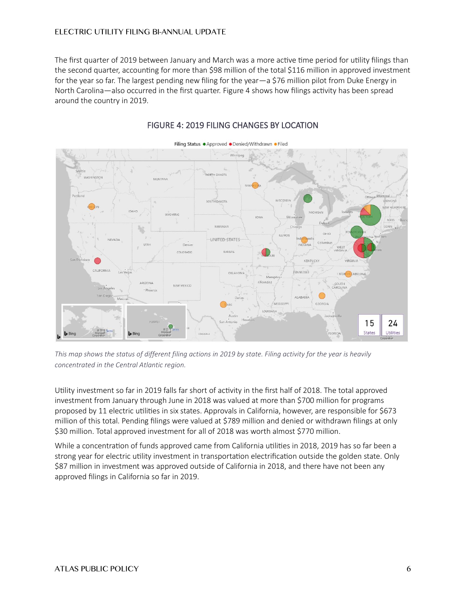The first quarter of 2019 between January and March was a more active time period for utility filings than the second quarter, accounting for more than \$98 million of the total \$116 million in approved investment for the year so far. The largest pending new filing for the year—a \$76 million pilot from Duke Energy in North Carolina—also occurred in the first quarter. [Figure 4](#page-5-0) shows how filings activity has been spread around the country in 2019.

<span id="page-5-0"></span>

#### FIGURE 4: 2019 FILING CHANGES BY LOCATION

*This map shows the status of different filing actions in 2019 by state. Filing activity for the year is heavily concentrated in the Central Atlantic region.* 

Utility investment so far in 2019 falls far short of activity in the first half of 2018. The total approved investment from January through June in 2018 was valued at more than \$700 million for programs proposed by 11 electric utilities in six states. Approvals in California, however, are responsible for \$673 million of this total. Pending filings were valued at \$789 million and denied or withdrawn filings at only \$30 million. Total approved investment for all of 2018 was worth almost \$770 million.

While a concentration of funds approved came from California utilities in 2018, 2019 has so far been a strong year for electric utility investment in transportation electrification outside the golden state. Only \$87 million in investment was approved outside of California in 2018, and there have not been any approved filings in California so far in 2019.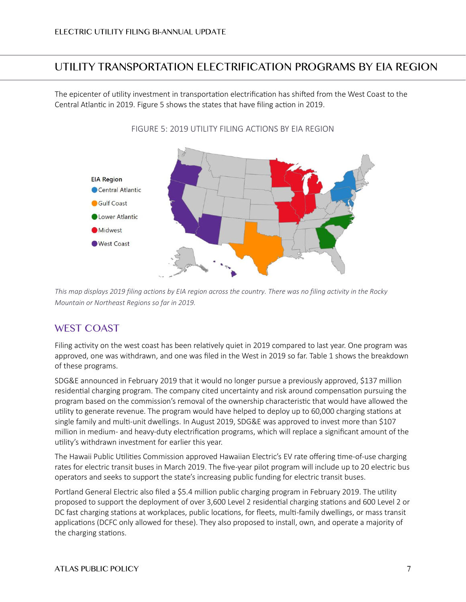# <span id="page-6-0"></span>UTILITY TRANSPORTATION ELECTRIFICATION PROGRAMS BY EIA REGION

<span id="page-6-2"></span>The epicenter of utility investment in transportation electrification has shifted from the West Coast to the Central Atlantic in 2019. [Figure 5](#page-6-2) shows the states that have filing action in 2019.



FIGURE 5: 2019 UTILITY FILING ACTIONS BY EIA REGION

*This map displays 2019 filing actions by EIA region across the country. There was no filing activity in the Rocky Mountain or Northeast Regions so far in 2019.* 

#### <span id="page-6-1"></span>**WEST COAST**

Filing activity on the west coast has been relatively quiet in 2019 compared to last year. One program was approved, one was withdrawn, and one was filed in the West in 2019 so far[. Table 1](#page-7-0) shows the breakdown of these programs.

SDG&E announced in February 2019 that it would no longer pursue a previously approved, \$137 million residential charging program. The company cited uncertainty and risk around compensation pursuing the program based on the commission's removal of the ownership characteristic that would have allowed the utility to generate revenue. The program would have helped to deploy up to 60,000 charging stations at single family and multi-unit dwellings. In August 2019, SDG&E was approved to invest more than \$107 million in medium- and heavy-duty electrification programs, which will replace a significant amount of the utility's withdrawn investment for earlier this year.

The Hawaii Public Utilities Commission approved Hawaiian Electric's EV rate offering time-of-use charging rates for electric transit buses in March 2019. The five-year pilot program will include up to 20 electric bus operators and seeks to support the state's increasing public funding for electric transit buses.

Portland General Electric also filed a \$5.4 million public charging program in February 2019. The utility proposed to support the deployment of over 3,600 Level 2 residential charging stations and 600 Level 2 or DC fast charging stations at workplaces, public locations, for fleets, multi-family dwellings, or mass transit applications (DCFC only allowed for these). They also proposed to install, own, and operate a majority of the charging stations.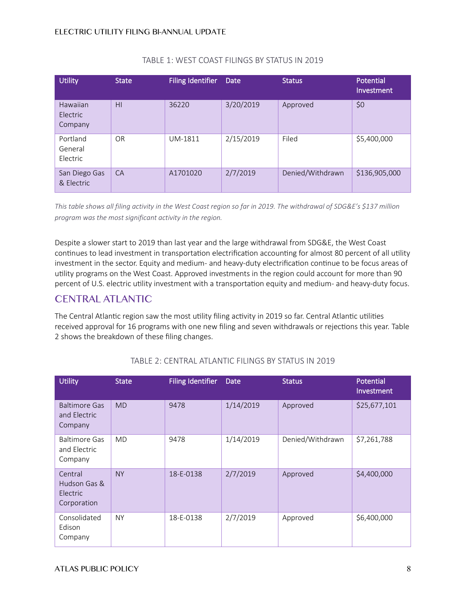<span id="page-7-0"></span>

| <b>Utility</b>                  | <b>State</b> | Filing Identifier | Date      | <b>Status</b>    | Potential<br><b>Investment</b> |
|---------------------------------|--------------|-------------------|-----------|------------------|--------------------------------|
| Hawaiian<br>Electric<br>Company | H1           | 36220             | 3/20/2019 | Approved         | \$0                            |
| Portland<br>General<br>Electric | <b>OR</b>    | UM-1811           | 2/15/2019 | Filed            | \$5,400,000                    |
| San Diego Gas<br>& Electric     | CA           | A1701020          | 2/7/2019  | Denied/Withdrawn | \$136,905,000                  |

#### TABLE 1: WEST COAST FILINGS BY STATUS IN 2019

*This table shows all filing activity in the West Coast region so far in 2019. The withdrawal of SDG&E's \$137 million program was the most significant activity in the region.*

Despite a slower start to 2019 than last year and the large withdrawal from SDG&E, the West Coast continues to lead investment in transportation electrification accounting for almost 80 percent of all utility investment in the sector. Equity and medium- and heavy-duty electrification continue to be focus areas of utility programs on the West Coast. Approved investments in the region could account for more than 90 percent of U.S. electric utility investment with a transportation equity and medium- and heavy-duty focus.

## **CENTRAL ATLANTIC**

The Central Atlantic region saw the most utility filing activity in 2019 so far. Central Atlantic utilities received approval for 16 programs with one new filing and seven withdrawals or rejections this year. [Table](#page-7-1)  [2](#page-7-1) shows the breakdown of these filing changes.

<span id="page-7-1"></span>

| <b>Utility</b>                                     | <b>State</b> | <b>Filing Identifier</b> | Date      | <b>Status</b>    | Potential<br>Investment |
|----------------------------------------------------|--------------|--------------------------|-----------|------------------|-------------------------|
| <b>Baltimore Gas</b><br>and Electric<br>Company    | MD           | 9478                     | 1/14/2019 | Approved         | \$25,677,101            |
| <b>Baltimore Gas</b><br>and Electric<br>Company    | <b>MD</b>    | 9478                     | 1/14/2019 | Denied/Withdrawn | \$7,261,788             |
| Central<br>Hudson Gas &<br>Electric<br>Corporation | <b>NY</b>    | 18-E-0138                | 2/7/2019  | Approved         | \$4,400,000             |
| Consolidated<br>Edison<br>Company                  | <b>NY</b>    | 18-E-0138                | 2/7/2019  | Approved         | \$6,400,000             |

#### TABLE 2: CENTRAL ATLANTIC FILINGS BY STATUS IN 2019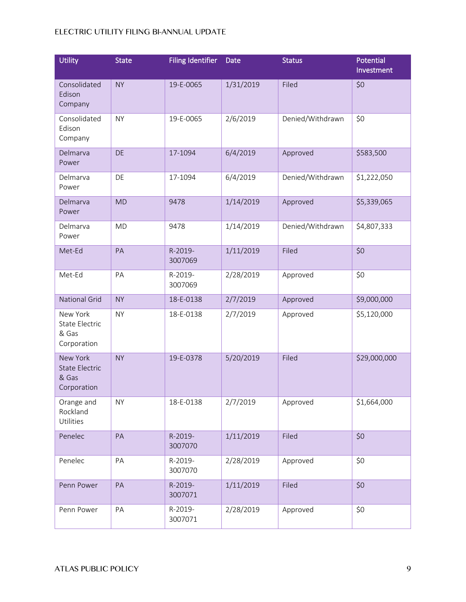| <b>Utility</b>                                            | <b>State</b> | <b>Filing Identifier</b> | Date      | <b>Status</b>    | Potential<br>Investment |
|-----------------------------------------------------------|--------------|--------------------------|-----------|------------------|-------------------------|
| Consolidated<br>Edison<br>Company                         | <b>NY</b>    | 19-E-0065                | 1/31/2019 | Filed            | \$0                     |
| Consolidated<br>Edison<br>Company                         | <b>NY</b>    | 19-E-0065                | 2/6/2019  | Denied/Withdrawn | \$0                     |
| Delmarva<br>Power                                         | <b>DE</b>    | 17-1094                  | 6/4/2019  | Approved         | \$583,500               |
| Delmarva<br>Power                                         | DE           | 17-1094                  | 6/4/2019  | Denied/Withdrawn | \$1,222,050             |
| Delmarva<br>Power                                         | <b>MD</b>    | 9478                     | 1/14/2019 | Approved         | \$5,339,065             |
| Delmarva<br>Power                                         | <b>MD</b>    | 9478                     | 1/14/2019 | Denied/Withdrawn | \$4,807,333             |
| Met-Ed                                                    | PA           | R-2019-<br>3007069       | 1/11/2019 | Filed            | \$0                     |
| Met-Ed                                                    | PA           | R-2019-<br>3007069       | 2/28/2019 | Approved         | \$0                     |
| <b>National Grid</b>                                      | <b>NY</b>    | 18-E-0138                | 2/7/2019  | Approved         | \$9,000,000             |
| New York<br><b>State Electric</b><br>& Gas<br>Corporation | <b>NY</b>    | 18-E-0138                | 2/7/2019  | Approved         | \$5,120,000             |
| New York<br><b>State Electric</b><br>& Gas<br>Corporation | <b>NY</b>    | 19-E-0378                | 5/20/2019 | Filed            | \$29,000,000            |
| Orange and<br>Rockland<br>Utilities                       | <b>NY</b>    | 18-E-0138                | 2/7/2019  | Approved         | \$1,664,000             |
| Penelec                                                   | PA           | R-2019-<br>3007070       | 1/11/2019 | Filed            | \$0                     |
| Penelec                                                   | PA           | R-2019-<br>3007070       | 2/28/2019 | Approved         | \$0                     |
| Penn Power                                                | PA           | R-2019-<br>3007071       | 1/11/2019 | Filed            | \$0                     |
| Penn Power                                                | PA           | R-2019-<br>3007071       | 2/28/2019 | Approved         | \$0                     |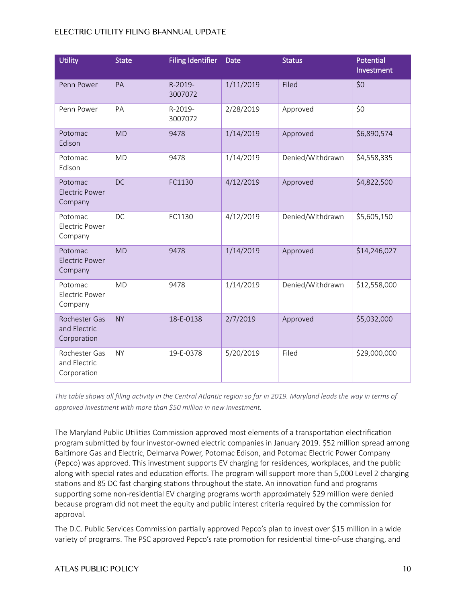| <b>Utility</b>                               | <b>State</b> | <b>Filing Identifier</b> | Date      | <b>Status</b>    | Potential<br>Investment |
|----------------------------------------------|--------------|--------------------------|-----------|------------------|-------------------------|
| Penn Power                                   | PA           | R-2019-<br>3007072       | 1/11/2019 | Filed            | \$0                     |
| Penn Power                                   | PA           | R-2019-<br>3007072       | 2/28/2019 | Approved         | \$0                     |
| Potomac<br>Edison                            | <b>MD</b>    | 9478                     | 1/14/2019 | Approved         | \$6,890,574             |
| Potomac<br>Edison                            | <b>MD</b>    | 9478                     | 1/14/2019 | Denied/Withdrawn | \$4,558,335             |
| Potomac<br><b>Electric Power</b><br>Company  | <b>DC</b>    | FC1130                   | 4/12/2019 | Approved         | \$4,822,500             |
| Potomac<br>Electric Power<br>Company         | <b>DC</b>    | FC1130                   | 4/12/2019 | Denied/Withdrawn | \$5,605,150             |
| Potomac<br><b>Electric Power</b><br>Company  | <b>MD</b>    | 9478                     | 1/14/2019 | Approved         | \$14,246,027            |
| Potomac<br><b>Electric Power</b><br>Company  | <b>MD</b>    | 9478                     | 1/14/2019 | Denied/Withdrawn | \$12,558,000            |
| Rochester Gas<br>and Electric<br>Corporation | <b>NY</b>    | 18-E-0138                | 2/7/2019  | Approved         | \$5,032,000             |
| Rochester Gas<br>and Electric<br>Corporation | <b>NY</b>    | 19-E-0378                | 5/20/2019 | Filed            | \$29,000,000            |

*This table shows all filing activity in the Central Atlantic region so far in 2019. Maryland leads the way in terms of approved investment with more than \$50 million in new investment.* 

The Maryland Public Utilities Commission approved most elements of a transportation electrification program submitted by four investor-owned electric companies in January 2019. \$52 million spread among Baltimore Gas and Electric, Delmarva Power, Potomac Edison, and Potomac Electric Power Company (Pepco) was approved. This investment supports EV charging for residences, workplaces, and the public along with special rates and education efforts. The program will support more than 5,000 Level 2 charging stations and 85 DC fast charging stations throughout the state. An innovation fund and programs supporting some non-residential EV charging programs worth approximately \$29 million were denied because program did not meet the equity and public interest criteria required by the commission for approval.

The D.C. Public Services Commission partially approved Pepco's plan to invest over \$15 million in a wide variety of programs. The PSC approved Pepco's rate promotion for residential time-of-use charging, and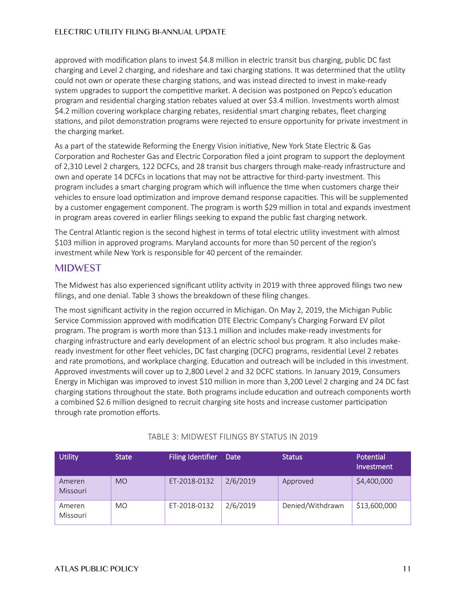approved with modification plans to invest \$4.8 million in electric transit bus charging, public DC fast charging and Level 2 charging, and rideshare and taxi charging stations. It was determined that the utility could not own or operate these charging stations, and was instead directed to invest in make-ready system upgrades to support the competitive market. A decision was postponed on Pepco's education program and residential charging station rebates valued at over \$3.4 million. Investments worth almost \$4.2 million covering workplace charging rebates, residential smart charging rebates, fleet charging stations, and pilot demonstration programs were rejected to ensure opportunity for private investment in the charging market.

As a part of the statewide Reforming the Energy Vision initiative, New York State Electric & Gas Corporation and Rochester Gas and Electric Corporation filed a joint program to support the deployment of 2,310 Level 2 chargers, 122 DCFCs, and 28 transit bus chargers through make-ready infrastructure and own and operate 14 DCFCs in locations that may not be attractive for third-party investment. This program includes a smart charging program which will influence the time when customers charge their vehicles to ensure load optimization and improve demand response capacities. This will be supplemented by a customer engagement component. The program is worth \$29 million in total and expands investment in program areas covered in earlier filings seeking to expand the public fast charging network.

The Central Atlantic region is the second highest in terms of total electric utility investment with almost \$103 million in approved programs. Maryland accounts for more than 50 percent of the region's investment while New York is responsible for 40 percent of the remainder.

## **MIDWEST**

The Midwest has also experienced significant utility activity in 2019 with three approved filings two new filings, and one denial. [Table 3](#page-10-0) shows the breakdown of these filing changes.

The most significant activity in the region occurred in Michigan. On May 2, 2019, the Michigan Public Service Commission approved with modification DTE Electric Company's Charging Forward EV pilot program. The program is worth more than \$13.1 million and includes make-ready investments for charging infrastructure and early development of an electric school bus program. It also includes makeready investment for other fleet vehicles, DC fast charging (DCFC) programs, residential Level 2 rebates and rate promotions, and workplace charging. Education and outreach will be included in this investment. Approved investments will cover up to 2,800 Level 2 and 32 DCFC stations. In January 2019, Consumers Energy in Michigan was improved to invest \$10 million in more than 3,200 Level 2 charging and 24 DC fast charging stations throughout the state. Both programs include education and outreach components worth a combined \$2.6 million designed to recruit charging site hosts and increase customer participation through rate promotion efforts.

<span id="page-10-0"></span>

| <b>Utility</b>     | <b>State</b> | <b>Filing Identifier</b> | Date     | <b>Status</b>    | Potential<br>l Investment <b>'</b> |
|--------------------|--------------|--------------------------|----------|------------------|------------------------------------|
| Ameren<br>Missouri | <b>MO</b>    | ET-2018-0132             | 2/6/2019 | Approved         | \$4,400,000                        |
| Ameren<br>Missouri | MO.          | ET-2018-0132             | 2/6/2019 | Denied/Withdrawn | \$13,600,000                       |

#### TABLE 3: MIDWEST FILINGS BY STATUS IN 2019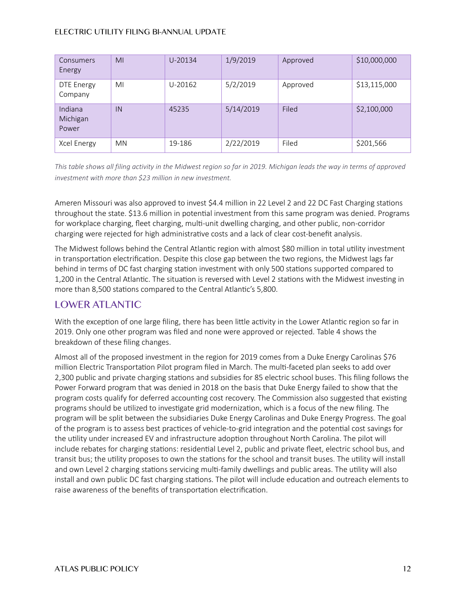| <b>Consumers</b><br>Energy   | M <sub>l</sub> | U-20134 | 1/9/2019  | Approved | \$10,000,000 |
|------------------------------|----------------|---------|-----------|----------|--------------|
| DTE Energy<br>Company        | MI             | U-20162 | 5/2/2019  | Approved | \$13,115,000 |
| Indiana<br>Michigan<br>Power | IN             | 45235   | 5/14/2019 | Filed    | \$2,100,000  |
| Xcel Energy                  | <b>MN</b>      | 19-186  | 2/22/2019 | Filed    | \$201,566    |

*This table shows all filing activity in the Midwest region so far in 2019. Michigan leads the way in terms of approved investment with more than \$23 million in new investment.* 

Ameren Missouri was also approved to invest \$4.4 million in 22 Level 2 and 22 DC Fast Charging stations throughout the state. \$13.6 million in potential investment from this same program was denied. Programs for workplace charging, fleet charging, multi-unit dwelling charging, and other public, non-corridor charging were rejected for high administrative costs and a lack of clear cost-benefit analysis.

The Midwest follows behind the Central Atlantic region with almost \$80 million in total utility investment in transportation electrification. Despite this close gap between the two regions, the Midwest lags far behind in terms of DC fast charging station investment with only 500 stations supported compared to 1,200 in the Central Atlantic. The situation is reversed with Level 2 stations with the Midwest investing in more than 8,500 stations compared to the Central Atlantic's 5,800.

# **LOWER ATLANTIC**

With the exception of one large filing, there has been little activity in the Lower Atlantic region so far in 2019. Only one other program was filed and none were approved or rejected. [Table 4](#page-12-0) shows the breakdown of these filing changes.

Almost all of the proposed investment in the region for 2019 comes from a Duke Energy Carolinas \$76 million Electric Transportation Pilot program filed in March. The multi-faceted plan seeks to add over 2,300 public and private charging stations and subsidies for 85 electric school buses. This filing follows the Power Forward program that was denied in 2018 on the basis that Duke Energy failed to show that the program costs qualify for deferred accounting cost recovery. The Commission also suggested that existing programs should be utilized to investigate grid modernization, which is a focus of the new filing. The program will be split between the subsidiaries Duke Energy Carolinas and Duke Energy Progress. The goal of the program is to assess best practices of vehicle-to-grid integration and the potential cost savings for the utility under increased EV and infrastructure adoption throughout North Carolina. The pilot will include rebates for charging stations: residential Level 2, public and private fleet, electric school bus, and transit bus; the utility proposes to own the stations for the school and transit buses. The utility will install and own Level 2 charging stations servicing multi-family dwellings and public areas. The utility will also install and own public DC fast charging stations. The pilot will include education and outreach elements to raise awareness of the benefits of transportation electrification.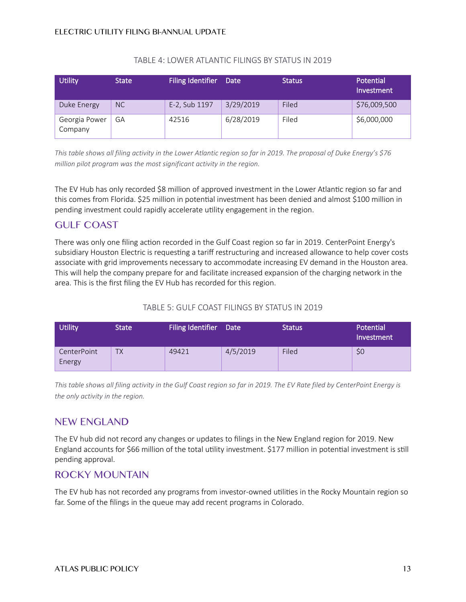<span id="page-12-0"></span>

| <b>Utility</b>           | <b>State</b> | Filing Identifier Date |           | <b>Status</b> | Potential<br>Investment |
|--------------------------|--------------|------------------------|-----------|---------------|-------------------------|
| Duke Energy              | NC           | E-2, Sub 1197          | 3/29/2019 | Filed         | \$76,009,500            |
| Georgia Power<br>Company | GА           | 42516                  | 6/28/2019 | Filed         | \$6,000,000             |

#### TABLE 4: LOWER ATLANTIC FILINGS BY STATUS IN 2019

*This table shows all filing activity in the Lower Atlantic region so far in 2019. The proposal of Duke Energy's \$76 million pilot program was the most significant activity in the region.*

The EV Hub has only recorded \$8 million of approved investment in the Lower Atlantic region so far and this comes from Florida. \$25 million in potential investment has been denied and almost \$100 million in pending investment could rapidly accelerate utility engagement in the region.

## **GULF COAST**

There was only one filing action recorded in the Gulf Coast region so far in 2019. CenterPoint Energy's subsidiary Houston Electric is requesting a tariff restructuring and increased allowance to help cover costs associate with grid improvements necessary to accommodate increasing EV demand in the Houston area. This will help the company prepare for and facilitate increased expansion of the charging network in the area. This is the first filing the EV Hub has recorded for this region.

#### TABLE 5: GULF COAST FILINGS BY STATUS IN 2019

| <b>Utility</b>        | <b>State</b> | Filing Identifier Date |          | <b>Status</b> | Potential<br>Investment |
|-----------------------|--------------|------------------------|----------|---------------|-------------------------|
| CenterPoint<br>Energy | <b>TX</b>    | 49421                  | 4/5/2019 | Filed         | \$0                     |

*This table shows all filing activity in the Gulf Coast region so far in 2019. The EV Rate filed by CenterPoint Energy is the only activity in the region.*

## **NEW ENGLAND**

The EV hub did not record any changes or updates to filings in the New England region for 2019. New England accounts for \$66 million of the total utility investment. \$177 million in potential investment is still pending approval.

## **ROCKY MOUNTAIN**

The EV hub has not recorded any programs from investor-owned utilities in the Rocky Mountain region so far. Some of the filings in the queue may add recent programs in Colorado.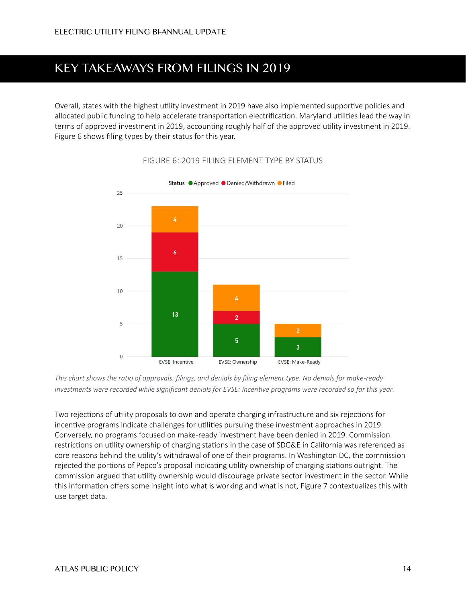# **KEY TAKEAWAYS FROM FILINGS IN 2019**

<span id="page-13-0"></span>Overall, states with the highest utility investment in 2019 have also implemented supportive policies and allocated public funding to help accelerate transportation electrification. Maryland utilities lead the way in terms of approved investment in 2019, accounting roughly half of the approved utility investment in 2019. [Figure 6](#page-13-0) shows filing types by their status for this year.



#### FIGURE 6: 2019 FILING ELEMENT TYPE BY STATUS

*This chart shows the ratio of approvals, filings, and denials by filing element type. No denials for make-ready*  investments were recorded while significant denials for EVSE: Incentive programs were recorded so far this year.

Two rejections of utility proposals to own and operate charging infrastructure and six rejections for incentive programs indicate challenges for utilities pursuing these investment approaches in 2019. Conversely, no programs focused on make-ready investment have been denied in 2019. Commission restrictions on utility ownership of charging stations in the case of SDG&E in California was referenced as core reasons behind the utility's withdrawal of one of their programs. In Washington DC, the commission rejected the portions of Pepco's proposal indicating utility ownership of charging stations outright. The commission argued that utility ownership would discourage private sector investment in the sector. While this information offers some insight into what is working and what is not, [Figure 7](#page-14-0) contextualizes this with use target data.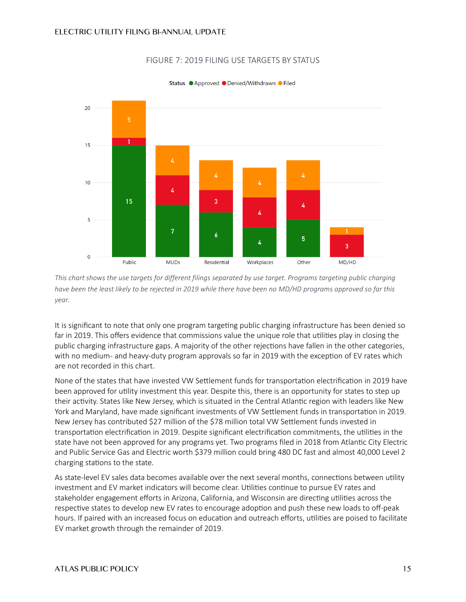<span id="page-14-0"></span>

#### FIGURE 7: 2019 FILING USE TARGETS BY STATUS

Status ● Approved ● Denied/Withdrawn ● Filed

*This chart shows the use targets for different filings separated by use target. Programs targeting public charging have been the least likely to be rejected in 2019 while there have been no MD/HD programs approved so far this year.* 

It is significant to note that only one program targeting public charging infrastructure has been denied so far in 2019. This offers evidence that commissions value the unique role that utilities play in closing the public charging infrastructure gaps. A majority of the other rejections have fallen in the other categories, with no medium- and heavy-duty program approvals so far in 2019 with the exception of EV rates which are not recorded in this chart.

None of the states that have invested VW Settlement funds for transportation electrification in 2019 have been approved for utility investment this year. Despite this, there is an opportunity for states to step up their activity. States like New Jersey, which is situated in the Central Atlantic region with leaders like New York and Maryland, have made significant investments of VW Settlement funds in transportation in 2019. New Jersey has contributed \$27 million of the \$78 million total VW Settlement funds invested in transportation electrification in 2019. Despite significant electrification commitments, the utilities in the state have not been approved for any programs yet. Two programs filed in 2018 from Atlantic City Electric and Public Service Gas and Electric worth \$379 million could bring 480 DC fast and almost 40,000 Level 2 charging stations to the state.

As state-level EV sales data becomes available over the next several months, connections between utility investment and EV market indicators will become clear. Utilities continue to pursue EV rates and stakeholder engagement efforts in Arizona, California, and Wisconsin are directing utilities across the respective states to develop new EV rates to encourage adoption and push these new loads to off-peak hours. If paired with an increased focus on education and outreach efforts, utilities are poised to facilitate EV market growth through the remainder of 2019.